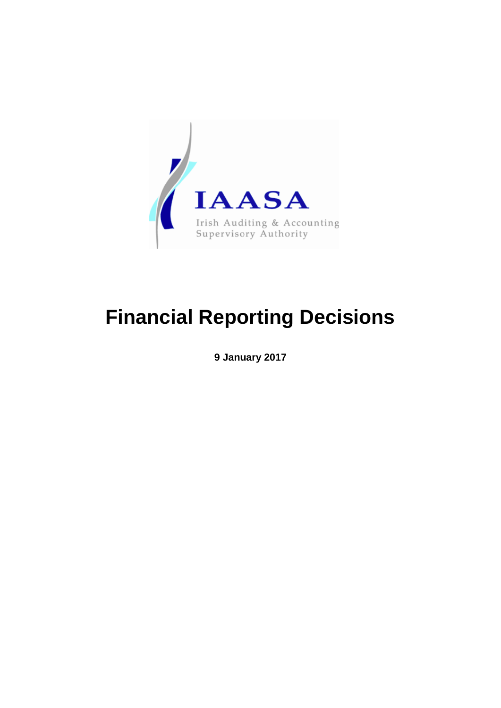

# **Financial Reporting Decisions**

**9 January 2017**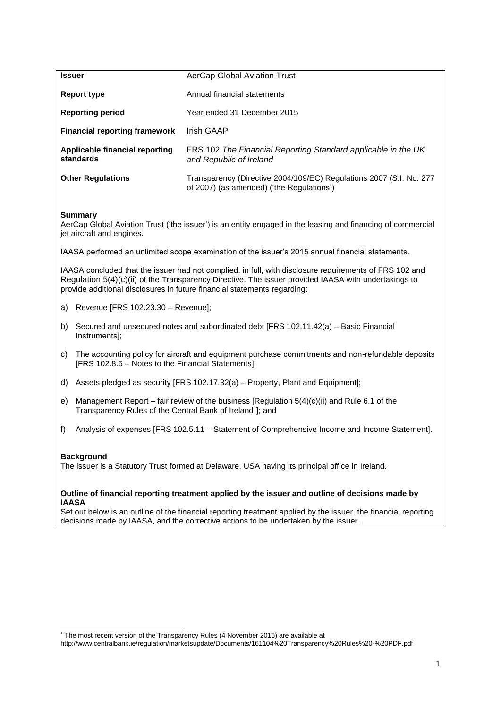| <b>Issuer</b>                                                                                                                                                                                                                                                                              | AerCap Global Aviation Trust                                                                                                                                                                           |  |
|--------------------------------------------------------------------------------------------------------------------------------------------------------------------------------------------------------------------------------------------------------------------------------------------|--------------------------------------------------------------------------------------------------------------------------------------------------------------------------------------------------------|--|
| <b>Report type</b>                                                                                                                                                                                                                                                                         | Annual financial statements                                                                                                                                                                            |  |
| <b>Reporting period</b>                                                                                                                                                                                                                                                                    | Year ended 31 December 2015                                                                                                                                                                            |  |
| <b>Financial reporting framework</b>                                                                                                                                                                                                                                                       | <b>Irish GAAP</b>                                                                                                                                                                                      |  |
| Applicable financial reporting<br>standards                                                                                                                                                                                                                                                | FRS 102 The Financial Reporting Standard applicable in the UK<br>and Republic of Ireland                                                                                                               |  |
| <b>Other Regulations</b>                                                                                                                                                                                                                                                                   | Transparency (Directive 2004/109/EC) Regulations 2007 (S.I. No. 277<br>of 2007) (as amended) ('the Regulations')                                                                                       |  |
| <b>Summary</b><br>AerCap Global Aviation Trust ('the issuer') is an entity engaged in the leasing and financing of commercial<br>jet aircraft and engines.                                                                                                                                 |                                                                                                                                                                                                        |  |
| IAASA performed an unlimited scope examination of the issuer's 2015 annual financial statements.                                                                                                                                                                                           |                                                                                                                                                                                                        |  |
| IAASA concluded that the issuer had not complied, in full, with disclosure requirements of FRS 102 and<br>Regulation 5(4)(c)(ii) of the Transparency Directive. The issuer provided IAASA with undertakings to<br>provide additional disclosures in future financial statements regarding: |                                                                                                                                                                                                        |  |
| Revenue [FRS 102.23.30 - Revenue];<br>a)                                                                                                                                                                                                                                                   |                                                                                                                                                                                                        |  |
| Secured and unsecured notes and subordinated debt [FRS 102.11.42(a) - Basic Financial<br>b)<br>Instruments];                                                                                                                                                                               |                                                                                                                                                                                                        |  |
| The accounting policy for aircraft and equipment purchase commitments and non-refundable deposits<br>C)<br>[FRS 102.8.5 - Notes to the Financial Statements];                                                                                                                              |                                                                                                                                                                                                        |  |
| Assets pledged as security [FRS 102.17.32(a) – Property, Plant and Equipment];<br>d)                                                                                                                                                                                                       |                                                                                                                                                                                                        |  |
| Management Report – fair review of the business [Regulation $5(4)(c)(ii)$ and Rule 6.1 of the<br>e)<br>Transparency Rules of the Central Bank of Ireland <sup>1</sup> ]; and                                                                                                               |                                                                                                                                                                                                        |  |
| f)                                                                                                                                                                                                                                                                                         | Analysis of expenses [FRS 102.5.11 - Statement of Comprehensive Income and Income Statement].                                                                                                          |  |
| <b>Background</b><br>The issuer is a Statutory Trust formed at Delaware, USA having its principal office in Ireland.                                                                                                                                                                       |                                                                                                                                                                                                        |  |
| Outline of financial reporting treatment applied by the issuer and outline of decisions made by<br><b>IAASA</b>                                                                                                                                                                            |                                                                                                                                                                                                        |  |
|                                                                                                                                                                                                                                                                                            | Set out below is an outline of the financial reporting treatment applied by the issuer, the financial reporting<br>decisions made by IAASA, and the corrective actions to be undertaken by the issuer. |  |

 1 The most recent version of the Transparency Rules (4 November 2016) are available at

http://www.centralbank.ie/regulation/marketsupdate/Documents/161104%20Transparency%20Rules%20-%20PDF.pdf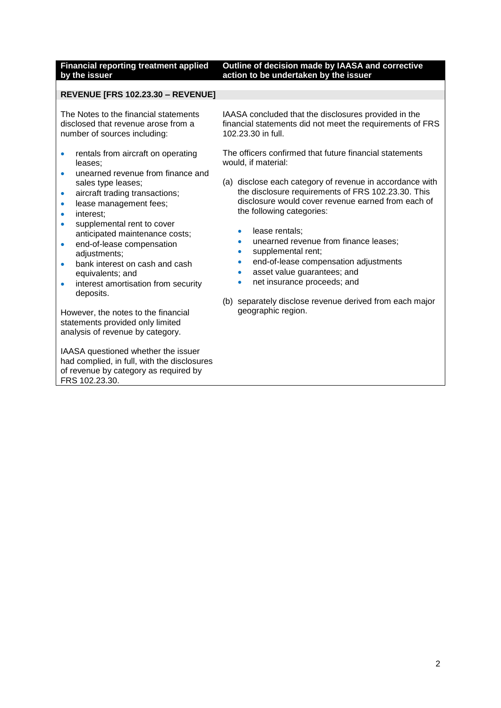#### **Financial reporting treatment applied by the issuer Outline of decision made by IAASA and corrective action to be undertaken by the issuer**

### **REVENUE [FRS 102.23.30 – REVENUE]**

The Notes to the financial statements disclosed that revenue arose from a number of sources including:

- rentals from aircraft on operating leases;
- unearned revenue from finance and sales type leases;
- aircraft trading transactions;
- **·** lease management fees;
- interest;
- supplemental rent to cover anticipated maintenance costs;
- end-of-lease compensation adjustments;
- bank interest on cash and cash equivalents; and
- interest amortisation from security deposits.

However, the notes to the financial statements provided only limited analysis of revenue by category.

IAASA questioned whether the issuer had complied, in full, with the disclosures of revenue by category as required by FRS 102.23.30.

IAASA concluded that the disclosures provided in the financial statements did not meet the requirements of FRS 102.23.30 in full.

The officers confirmed that future financial statements would, if material:

- (a) disclose each category of revenue in accordance with the disclosure requirements of FRS 102.23.30. This disclosure would cover revenue earned from each of the following categories:
	- lease rentals;
	- unearned revenue from finance leases;
	- supplemental rent:
	- end-of-lease compensation adjustments
	- asset value guarantees; and
	- net insurance proceeds; and
- (b) separately disclose revenue derived from each major geographic region.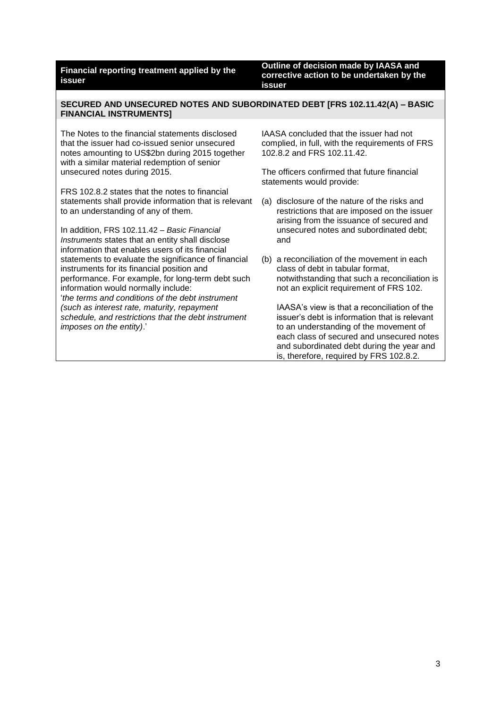**Outline of decision made by IAASA and corrective action to be undertaken by the issuer**

#### **SECURED AND UNSECURED NOTES AND SUBORDINATED DEBT [FRS 102.11.42(A) – BASIC FINANCIAL INSTRUMENTS]**

The Notes to the financial statements disclosed that the issuer had co-issued senior unsecured notes amounting to US\$2bn during 2015 together with a similar material redemption of senior unsecured notes during 2015.

FRS 102.8.2 states that the notes to financial statements shall provide information that is relevant to an understanding of any of them.

In addition, FRS 102.11.42 *– Basic Financial Instruments* states that an entity shall disclose information that enables users of its financial statements to evaluate the significance of financial instruments for its financial position and performance. For example, for long-term debt such information would normally include: '*the terms and conditions of the debt instrument (such as interest rate, maturity, repayment schedule, and restrictions that the debt instrument imposes on the entity)*.'

IAASA concluded that the issuer had not complied, in full, with the requirements of FRS 102.8.2 and FRS 102.11.42.

The officers confirmed that future financial statements would provide:

- (a) disclosure of the nature of the risks and restrictions that are imposed on the issuer arising from the issuance of secured and unsecured notes and subordinated debt; and
- (b) a reconciliation of the movement in each class of debt in tabular format, notwithstanding that such a reconciliation is not an explicit requirement of FRS 102.

IAASA's view is that a reconciliation of the issuer's debt is information that is relevant to an understanding of the movement of each class of secured and unsecured notes and subordinated debt during the year and is, therefore, required by FRS 102.8.2.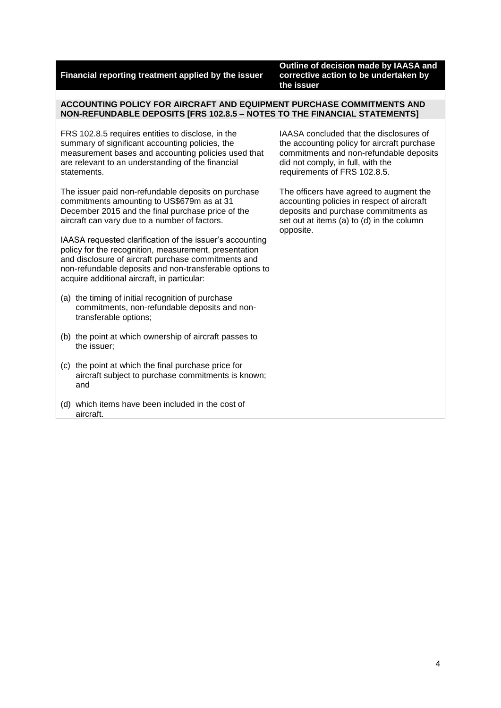**Outline of decision made by IAASA and corrective action to be undertaken by the issuer**

### **ACCOUNTING POLICY FOR AIRCRAFT AND EQUIPMENT PURCHASE COMMITMENTS AND NON-REFUNDABLE DEPOSITS [FRS 102.8.5 – NOTES TO THE FINANCIAL STATEMENTS]**

FRS 102.8.5 requires entities to disclose, in the summary of significant accounting policies, the measurement bases and accounting policies used that are relevant to an understanding of the financial statements.

The issuer paid non-refundable deposits on purchase commitments amounting to US\$679m as at 31 December 2015 and the final purchase price of the aircraft can vary due to a number of factors.

IAASA requested clarification of the issuer's accounting policy for the recognition, measurement, presentation and disclosure of aircraft purchase commitments and non-refundable deposits and non-transferable options to acquire additional aircraft, in particular:

- (a) the timing of initial recognition of purchase commitments, non-refundable deposits and nontransferable options;
- (b) the point at which ownership of aircraft passes to the issuer;
- (c) the point at which the final purchase price for aircraft subject to purchase commitments is known; and
- (d) which items have been included in the cost of aircraft.

IAASA concluded that the disclosures of the accounting policy for aircraft purchase commitments and non-refundable deposits did not comply, in full, with the requirements of FRS 102.8.5.

The officers have agreed to augment the accounting policies in respect of aircraft deposits and purchase commitments as set out at items (a) to (d) in the column opposite.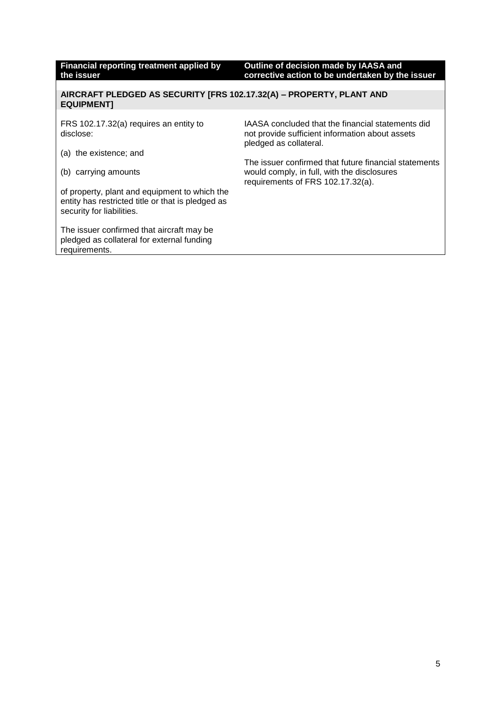| Financial reporting treatment applied by<br>the issuer                                                                          | Outline of decision made by IAASA and<br>corrective action to be undertaken by the issuer                                                 |
|---------------------------------------------------------------------------------------------------------------------------------|-------------------------------------------------------------------------------------------------------------------------------------------|
|                                                                                                                                 |                                                                                                                                           |
| AIRCRAFT PLEDGED AS SECURITY [FRS 102.17.32(A) - PROPERTY, PLANT AND<br><b>EQUIPMENTI</b>                                       |                                                                                                                                           |
|                                                                                                                                 |                                                                                                                                           |
| FRS 102.17.32(a) requires an entity to<br>disclose:                                                                             | IAASA concluded that the financial statements did<br>not provide sufficient information about assets<br>pledged as collateral.            |
| (a) the existence; and                                                                                                          |                                                                                                                                           |
| carrying amounts<br>(b)                                                                                                         | The issuer confirmed that future financial statements<br>would comply, in full, with the disclosures<br>requirements of FRS 102.17.32(a). |
| of property, plant and equipment to which the<br>entity has restricted title or that is pledged as<br>security for liabilities. |                                                                                                                                           |
| The issuer confirmed that aircraft may be<br>pledged as collateral for external funding<br>requirements.                        |                                                                                                                                           |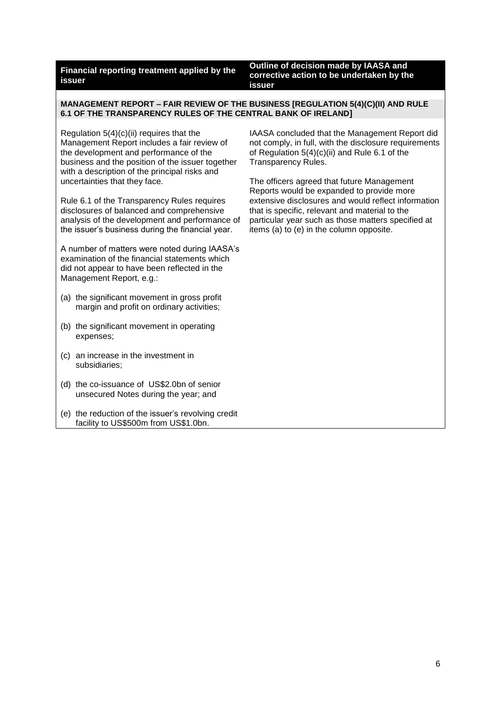**Outline of decision made by IAASA and corrective action to be undertaken by the issuer**

**MANAGEMENT REPORT – FAIR REVIEW OF THE BUSINESS [REGULATION 5(4)(C)(II) AND RULE 6.1 OF THE TRANSPARENCY RULES OF THE CENTRAL BANK OF IRELAND]**

Regulation  $5(4)(c)(ii)$  requires that the Management Report includes a fair review of the development and performance of the business and the position of the issuer together with a description of the principal risks and uncertainties that they face.

Rule 6.1 of the Transparency Rules requires disclosures of balanced and comprehensive analysis of the development and performance of the issuer's business during the financial year.

A number of matters were noted during IAASA's examination of the financial statements which did not appear to have been reflected in the Management Report, e.g.:

- (a) the significant movement in gross profit margin and profit on ordinary activities;
- (b) the significant movement in operating expenses;
- (c) an increase in the investment in subsidiaries;
- (d) the co-issuance of US\$2.0bn of senior unsecured Notes during the year; and
- (e) the reduction of the issuer's revolving credit facility to US\$500m from US\$1.0bn.

IAASA concluded that the Management Report did not comply, in full, with the disclosure requirements of Regulation 5(4)(c)(ii) and Rule 6.1 of the Transparency Rules.

The officers agreed that future Management Reports would be expanded to provide more extensive disclosures and would reflect information that is specific, relevant and material to the particular year such as those matters specified at items (a) to (e) in the column opposite.